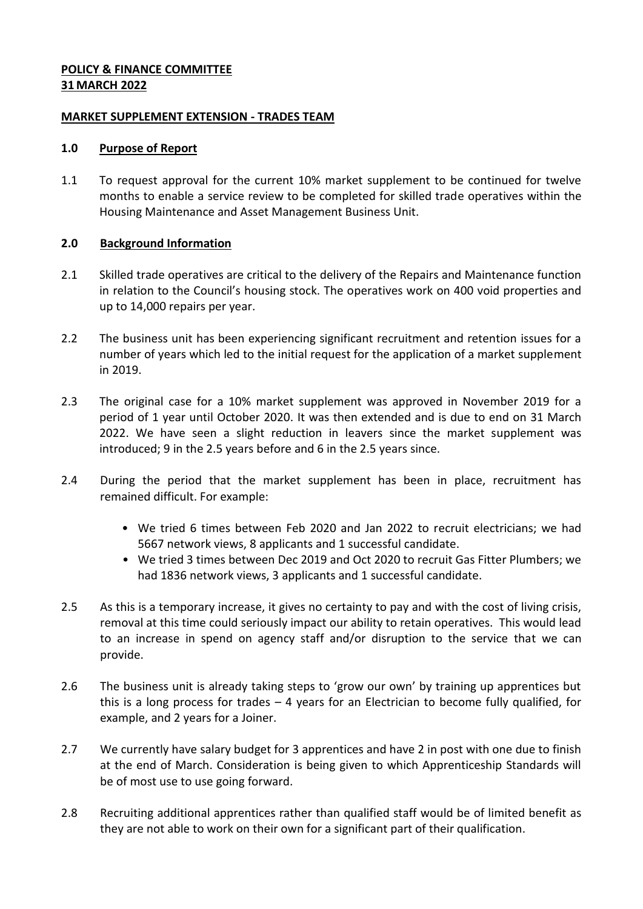#### **POLICY & FINANCE COMMITTEE 31 MARCH 2022**

#### **MARKET SUPPLEMENT EXTENSION - TRADES TEAM**

#### **1.0 Purpose of Report**

1.1 To request approval for the current 10% market supplement to be continued for twelve months to enable a service review to be completed for skilled trade operatives within the Housing Maintenance and Asset Management Business Unit.

#### **2.0 Background Information**

- 2.1 Skilled trade operatives are critical to the delivery of the Repairs and Maintenance function in relation to the Council's housing stock. The operatives work on 400 void properties and up to 14,000 repairs per year.
- 2.2 The business unit has been experiencing significant recruitment and retention issues for a number of years which led to the initial request for the application of a market supplement in 2019.
- 2.3 The original case for a 10% market supplement was approved in November 2019 for a period of 1 year until October 2020. It was then extended and is due to end on 31 March 2022. We have seen a slight reduction in leavers since the market supplement was introduced; 9 in the 2.5 years before and 6 in the 2.5 years since.
- 2.4 During the period that the market supplement has been in place, recruitment has remained difficult. For example:
	- We tried 6 times between Feb 2020 and Jan 2022 to recruit electricians; we had 5667 network views, 8 applicants and 1 successful candidate.
	- We tried 3 times between Dec 2019 and Oct 2020 to recruit Gas Fitter Plumbers; we had 1836 network views, 3 applicants and 1 successful candidate.
- 2.5 As this is a temporary increase, it gives no certainty to pay and with the cost of living crisis, removal at this time could seriously impact our ability to retain operatives. This would lead to an increase in spend on agency staff and/or disruption to the service that we can provide.
- 2.6 The business unit is already taking steps to 'grow our own' by training up apprentices but this is a long process for trades – 4 years for an Electrician to become fully qualified, for example, and 2 years for a Joiner.
- 2.7 We currently have salary budget for 3 apprentices and have 2 in post with one due to finish at the end of March. Consideration is being given to which Apprenticeship Standards will be of most use to use going forward.
- 2.8 Recruiting additional apprentices rather than qualified staff would be of limited benefit as they are not able to work on their own for a significant part of their qualification.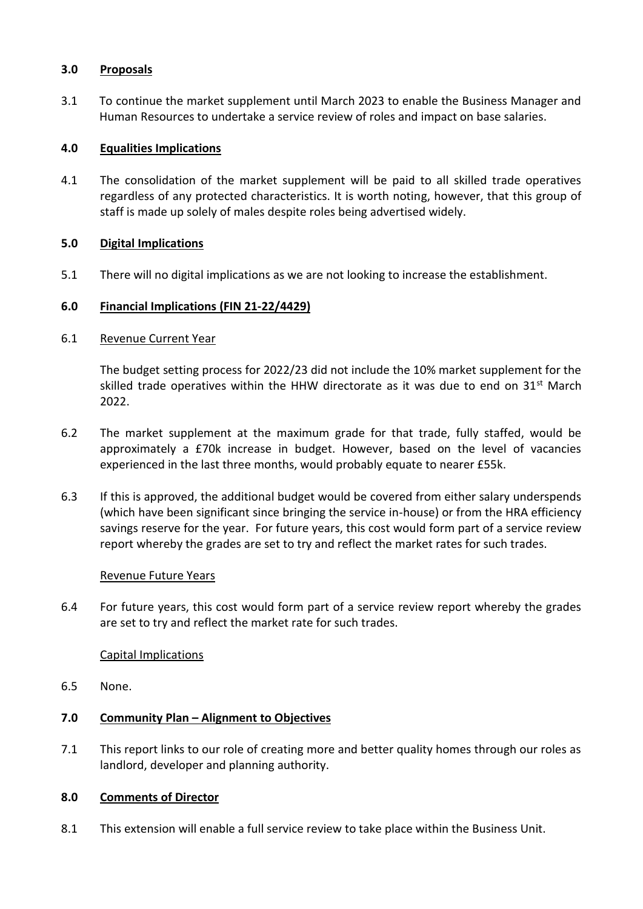## **3.0 Proposals**

3.1 To continue the market supplement until March 2023 to enable the Business Manager and Human Resources to undertake a service review of roles and impact on base salaries.

# **4.0 Equalities Implications**

4.1 The consolidation of the market supplement will be paid to all skilled trade operatives regardless of any protected characteristics. It is worth noting, however, that this group of staff is made up solely of males despite roles being advertised widely.

## **5.0 Digital Implications**

5.1 There will no digital implications as we are not looking to increase the establishment.

## **6.0 Financial Implications (FIN 21-22/4429)**

## 6.1 Revenue Current Year

The budget setting process for 2022/23 did not include the 10% market supplement for the skilled trade operatives within the HHW directorate as it was due to end on  $31^{st}$  March 2022.

- 6.2 The market supplement at the maximum grade for that trade, fully staffed, would be approximately a £70k increase in budget. However, based on the level of vacancies experienced in the last three months, would probably equate to nearer £55k.
- 6.3 If this is approved, the additional budget would be covered from either salary underspends (which have been significant since bringing the service in-house) or from the HRA efficiency savings reserve for the year. For future years, this cost would form part of a service review report whereby the grades are set to try and reflect the market rates for such trades.

#### Revenue Future Years

6.4 For future years, this cost would form part of a service review report whereby the grades are set to try and reflect the market rate for such trades.

#### Capital Implications

6.5 None.

# **7.0 Community Plan – Alignment to Objectives**

7.1 This report links to our role of creating more and better quality homes through our roles as landlord, developer and planning authority.

#### **8.0 Comments of Director**

8.1 This extension will enable a full service review to take place within the Business Unit.